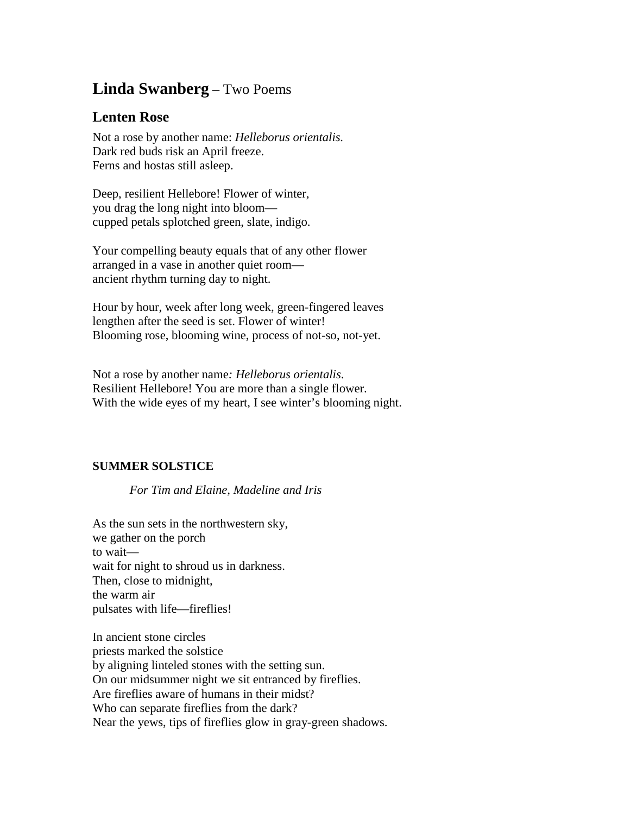## **Linda Swanberg** – Two Poems

## **Lenten Rose**

Not a rose by another name: *Helleborus orientalis.* Dark red buds risk an April freeze. Ferns and hostas still asleep.

Deep, resilient Hellebore! Flower of winter, you drag the long night into bloom cupped petals splotched green, slate, indigo.

Your compelling beauty equals that of any other flower arranged in a vase in another quiet room ancient rhythm turning day to night.

Hour by hour, week after long week, green-fingered leaves lengthen after the seed is set. Flower of winter! Blooming rose, blooming wine, process of not-so, not-yet.

Not a rose by another name*: Helleborus orientalis*. Resilient Hellebore! You are more than a single flower. With the wide eyes of my heart, I see winter's blooming night.

## **SUMMER SOLSTICE**

*For Tim and Elaine, Madeline and Iris*

As the sun sets in the northwestern sky, we gather on the porch to wait wait for night to shroud us in darkness. Then, close to midnight, the warm air pulsates with life—fireflies!

In ancient stone circles priests marked the solstice by aligning linteled stones with the setting sun. On our midsummer night we sit entranced by fireflies. Are fireflies aware of humans in their midst? Who can separate fireflies from the dark? Near the yews, tips of fireflies glow in gray-green shadows.